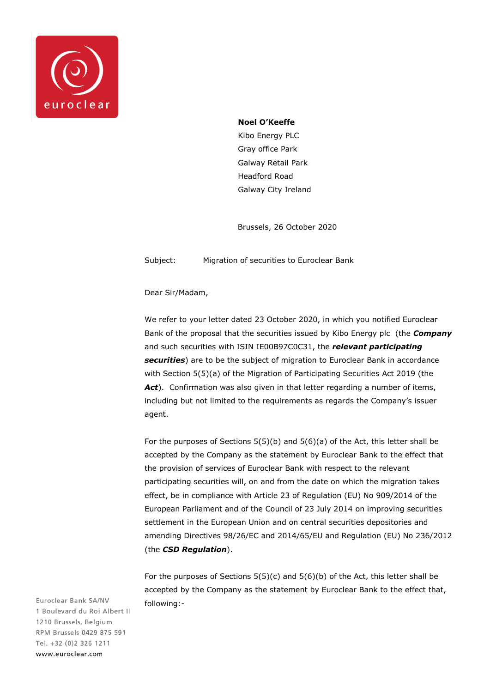

## **Noel O'Keeffe**

Kibo Energy PLC Gray office Park Galway Retail Park Headford Road Galway City Ireland

Brussels, 26 October 2020

Subject: Migration of securities to Euroclear Bank

Dear Sir/Madam,

We refer to your letter dated 23 October 2020, in which you notified Euroclear Bank of the proposal that the securities issued by Kibo Energy plc (the *Company* and such securities with ISIN IE00B97C0C31, the *relevant participating securities*) are to be the subject of migration to Euroclear Bank in accordance with Section 5(5)(a) of the Migration of Participating Securities Act 2019 (the Act). Confirmation was also given in that letter regarding a number of items, including but not limited to the requirements as regards the Company's issuer agent.

For the purposes of Sections 5(5)(b) and 5(6)(a) of the Act, this letter shall be accepted by the Company as the statement by Euroclear Bank to the effect that the provision of services of Euroclear Bank with respect to the relevant participating securities will, on and from the date on which the migration takes effect, be in compliance with Article 23 of Regulation (EU) No 909/2014 of the European Parliament and of the Council of 23 July 2014 on improving securities settlement in the European Union and on central securities depositories and amending Directives 98/26/EC and 2014/65/EU and Regulation (EU) No 236/2012 (the *CSD Regulation*).

For the purposes of Sections  $5(5)(c)$  and  $5(6)(b)$  of the Act, this letter shall be accepted by the Company as the statement by Euroclear Bank to the effect that, following:-

Euroclear Bank SA/NV 1 Boulevard du Roi Albert II 1210 Brussels, Belgium RPM Brussels 0429 875 591 Tel. +32 (0)2 326 1211 www.euroclear.com